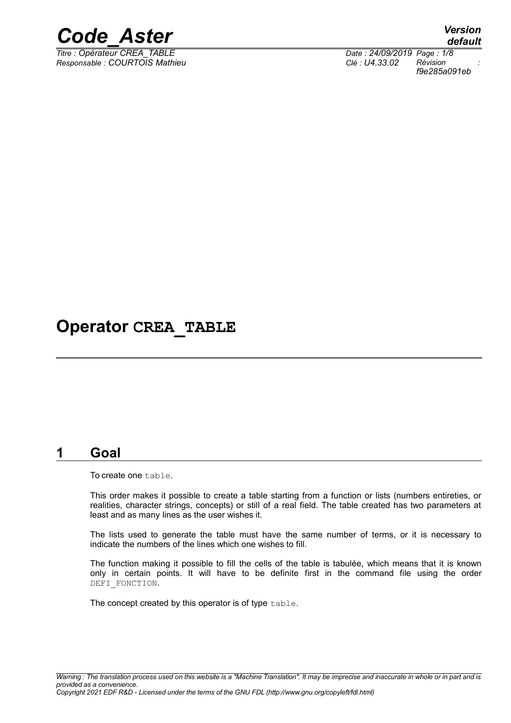

*Responsable : COURTOIS Mathieu Clé : U4.33.02 Révision :*

*Titre : Opérateur CREA\_TABLE Date : 24/09/2019 Page : 1/8 f9e285a091eb*

# **Operator CREA\_TABLE**

## **1 Goal**

To create one table.

This order makes it possible to create a table starting from a function or lists (numbers entireties, or realities, character strings, concepts) or still of a real field. The table created has two parameters at least and as many lines as the user wishes it.

The lists used to generate the table must have the same number of terms, or it is necessary to indicate the numbers of the lines which one wishes to fill.

The function making it possible to fill the cells of the table is tabulée, which means that it is known only in certain points. It will have to be definite first in the command file using the order DEFI\_FONCTION.

The concept created by this operator is of type table.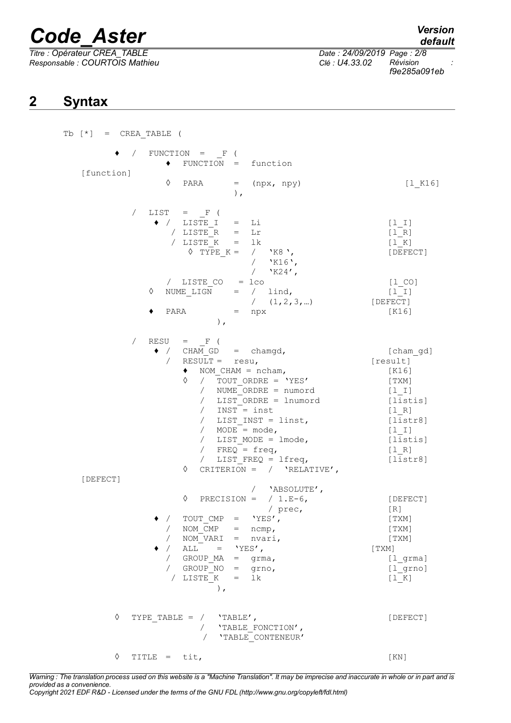*Titre : Opérateur CREA\_TABLE Date : 24/09/2019 Page : 2/8 Responsable : COURTOIS Mathieu Clé : U4.33.02 Révision :*

*f9e285a091eb*

## **2 Syntax**

Tb  $[ * ] = \text{CREA TABLE } ($  $\bullet$  / FUNCTION = F ( ♦ FUNCTION = function [function]  $\Diamond$  PARA = (npx, npy) [l K16] ),  $/$  LIST = F (  $\bullet$  / LISTE I = Li [l\_I]  $\angle$  LISTE R = Lr [l\_R] / LISTE\_K = lk [l\_K]  $\sqrt{YPE_{K}} = / YK8$ , [DEFECT] / 'K16',  $/$  'K24', / LISTE\_CO = lco [1\_CO]<br>NUME LIGN = / lind, [1 [1]  $\Diamond$  NUME LIGN = / lind, / (1,2,3,…) [DEFECT]  $PARA$  = npx  $[K16]$ ), / RESU =  $F$  (  $\bullet$  / CHAM GD = chamgd,  $[char\;gd]$  $/$  RESULT = resu, [result]  $\bullet$  NOM CHAM = ncham,  $[K16]$ ◊ / TOUT\_ORDRE = 'YES' [TXM] / NUME\_ORDRE = numord [1\_I]<br>
/ LIST\_ORDRE = lnumord [listis] / LIST ORDRE = lnumord [listis] / INST = inst [1 R]  $\overline{\text{LIST\_INST}} = \text{limits},$  [listr8] / MODE = mode, [1\_I]<br>/ LIST MODE = lmode, [listis] LIST MODE =  $lmode,$ /  $FREQ = freq$ , [l R] / LIST FREQ = lfreq, [listr8]  $\sqrt[3]{}$  CRITERION = / 'RELATIVE', [DEFECT] / 'ABSOLUTE',  $\Diamond$  PRECISION =  $/ 1.E-6$ , [DEFECT] / prec, [R]  $\begin{array}{cccc} \blacklozenge & / & \text{TOUT\_CMP} & = & 'YES', \\ \text{NOM }CMP & = & \text{ncmD} \end{array}$  [TXM]  $NOM \overline{C}MP = ncmp,$  [TXM] / NOM\_VARI = nvari, [TXM]<br>/ ALL = 'YES', [TXM] / ALL = 'YES',<br>
/ GROUP MA = grma, [1 grma] / GROUP MA = grma, (1 grma) / GROUP\_NO = grno, [l\_grno]  $\angle$  LISTE\_K = lk  $[1_K]$  $\lambda$ ,  $\Diamond$  TYPE TABLE = / 'TABLE', / 'TABLE\_FONCTION', / 'TABLE\_CONTENEUR'  $\Diamond$  TITLE = tit, [KN]

*Warning : The translation process used on this website is a "Machine Translation". It may be imprecise and inaccurate in whole or in part and is provided as a convenience.*

*Copyright 2021 EDF R&D - Licensed under the terms of the GNU FDL (http://www.gnu.org/copyleft/fdl.html)*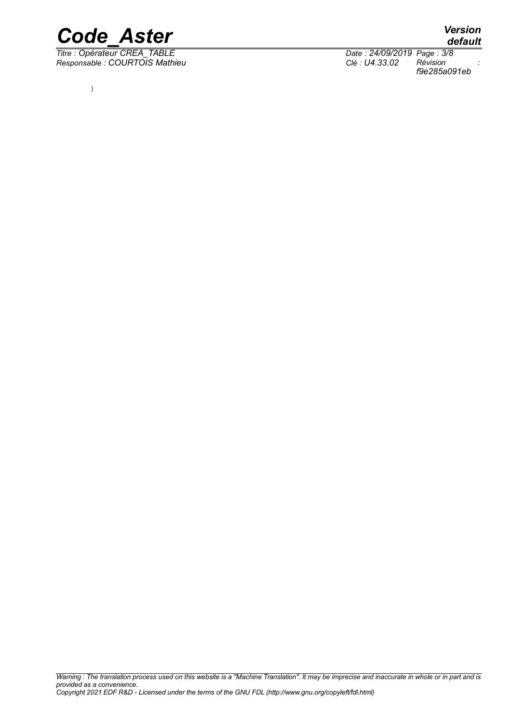

*Titre : Opérateur CREA\_TABLE Date : 24/09/2019 Page : 3/8*

)

*default*

*Responsable : COURTOIS Mathieu Clé : U4.33.02 Révision : f9e285a091eb*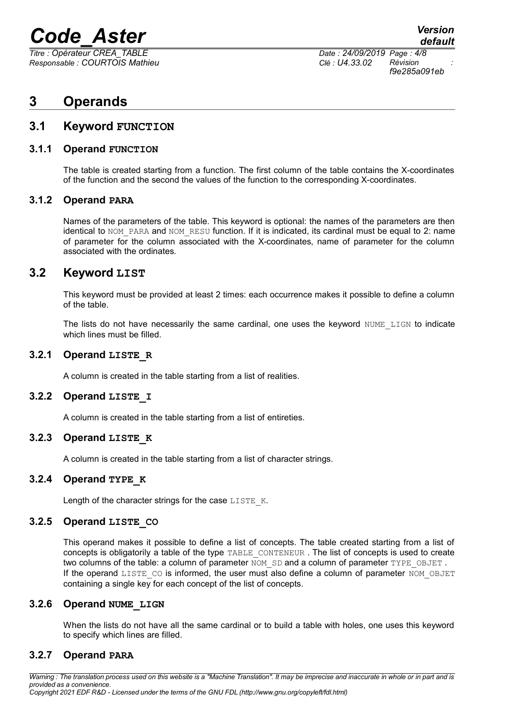*Responsable : COURTOIS Mathieu Clé : U4.33.02 Révision :*

*Titre : Opérateur CREA\_TABLE Date : 24/09/2019 Page : 4/8 f9e285a091eb*

## **3 Operands**

#### **3.1 Keyword FUNCTION**

#### **3.1.1 Operand FUNCTION**

The table is created starting from a function. The first column of the table contains the X-coordinates of the function and the second the values of the function to the corresponding X-coordinates.

#### **3.1.2 Operand PARA**

Names of the parameters of the table. This keyword is optional: the names of the parameters are then identical to NOM PARA and NOM RESU function. If it is indicated, its cardinal must be equal to 2: name of parameter for the column associated with the X-coordinates, name of parameter for the column associated with the ordinates.

#### **3.2 Keyword LIST**

This keyword must be provided at least 2 times: each occurrence makes it possible to define a column of the table.

The lists do not have necessarily the same cardinal, one uses the keyword NUME LIGN to indicate which lines must be filled.

#### **3.2.1 Operand LISTE\_R**

A column is created in the table starting from a list of realities.

#### **3.2.2 Operand LISTE\_I**

A column is created in the table starting from a list of entireties.

#### **3.2.3 Operand LISTE\_K**

A column is created in the table starting from a list of character strings.

#### **3.2.4 Operand TYPE\_K**

Length of the character strings for the case LISTE K.

#### **3.2.5 Operand LISTE\_CO**

This operand makes it possible to define a list of concepts. The table created starting from a list of concepts is obligatorily a table of the type TABLE\_CONTENEUR . The list of concepts is used to create two columns of the table: a column of parameter  $\overline{NOM}$  SD and a column of parameter TYPE\_OBJET. If the operand LISTE CO is informed, the user must also define a column of parameter NOM\_OBJET containing a single key for each concept of the list of concepts.

#### **3.2.6 Operand NUME\_LIGN**

When the lists do not have all the same cardinal or to build a table with holes, one uses this keyword to specify which lines are filled.

#### **3.2.7 Operand PARA**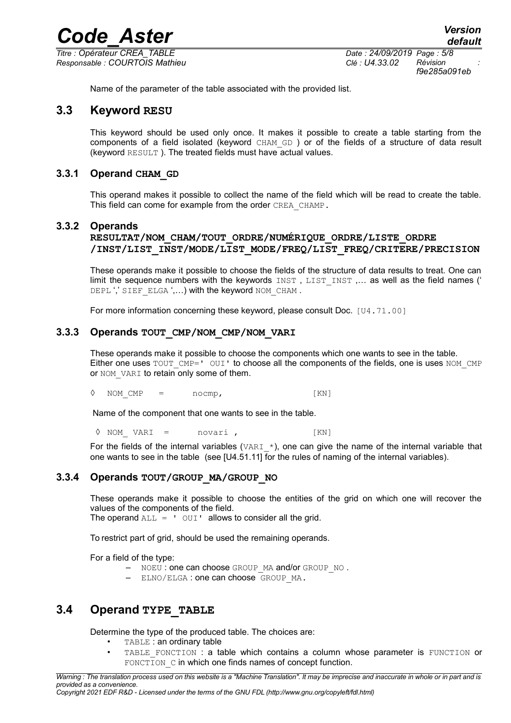*Titre : Opérateur CREA\_TABLE Date : 24/09/2019 Page : 5/8 Responsable : COURTOIS Mathieu Clé : U4.33.02 Révision :*

*f9e285a091eb*

Name of the parameter of the table associated with the provided list.

#### **3.3 Keyword RESU**

This keyword should be used only once. It makes it possible to create a table starting from the components of a field isolated (keyword CHAM GD) or of the fields of a structure of data result (keyword RESULT ). The treated fields must have actual values.

#### **3.3.1 Operand CHAM\_GD**

This operand makes it possible to collect the name of the field which will be read to create the table. This field can come for example from the order CREA\_CHAMP.

#### **3.3.2 Operands**

**RESULTAT/NOM\_CHAM/TOUT\_ORDRE/NUMÉRIQUE\_ORDRE/LISTE\_ORDRE /INST/LIST\_INST/MODE/LIST\_MODE/FREQ/LIST\_FREQ/CRITERE/PRECISION**

These operands make it possible to choose the fields of the structure of data results to treat. One can limit the sequence numbers with the keywords INST, LIST\_INST,... as well as the field names (' DEPL ',' SIEF ELGA ',...) with the keyword NOM CHAM .

For more information concerning these keyword, please consult Doc. [U4.71.00]

#### **3.3.3 Operands TOUT\_CMP/NOM\_CMP/NOM\_VARI**

These operands make it possible to choose the components which one wants to see in the table. Either one uses TOUT CMP=' OUI' to choose all the components of the fields, one is uses NOM CMP or NOM VARI to retain only some of them.

 $\Diamond$  NOM CMP = nocmp, [KN]

Name of the component that one wants to see in the table.

◊ NOM\_ VARI = novari , [KN]

For the fields of the internal variables (VARI  $*$ ), one can give the name of the internal variable that one wants to see in the table (see [U4.51.11] for the rules of naming of the internal variables).

#### **3.3.4 Operands TOUT/GROUP\_MA/GROUP\_NO**

These operands make it possible to choose the entities of the grid on which one will recover the values of the components of the field.

The operand  $ALL = 'OUT'$  allows to consider all the grid.

To restrict part of grid, should be used the remaining operands.

For a field of the type:

- NOEU : one can choose GROUP\_MA and/or GROUP\_NO .
- ELNO/ELGA : one can choose GROUP\_MA.

#### **3.4 Operand TYPE\_TABLE**

Determine the type of the produced table. The choices are:

- TABLE : an ordinary table
	- TABLE FONCTION : a table which contains a column whose parameter is FUNCTION or FONCTION C in which one finds names of concept function.

*Copyright 2021 EDF R&D - Licensed under the terms of the GNU FDL (http://www.gnu.org/copyleft/fdl.html)*

*Warning : The translation process used on this website is a "Machine Translation". It may be imprecise and inaccurate in whole or in part and is provided as a convenience.*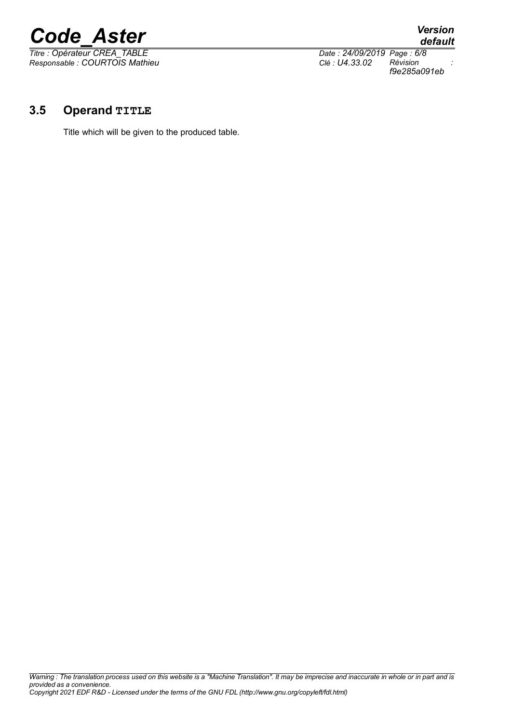*Titre : Opérateur CREA\_TABLE Date : 24/09/2019 Page : 6/8 Responsable : COURTOIS Mathieu Clé : U4.33.02 Révision :*

*f9e285a091eb*

*default*

### **3.5 Operand TITLE**

Title which will be given to the produced table.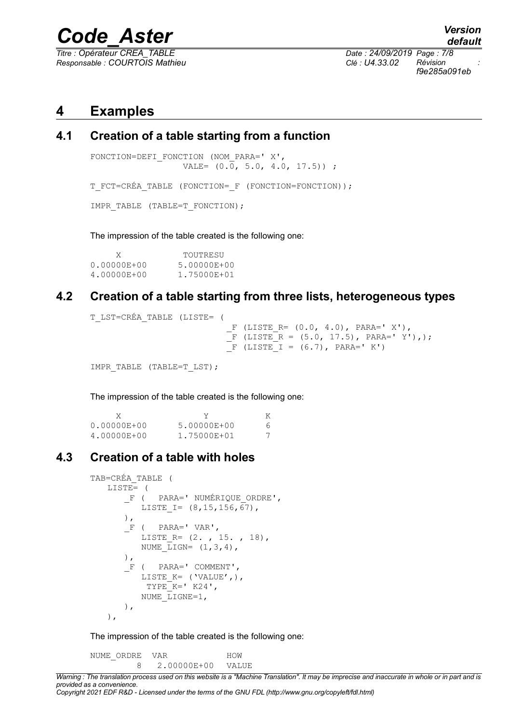*Titre : Opérateur CREA\_TABLE Date : 24/09/2019 Page : 7/8 Responsable : COURTOIS Mathieu Clé : U4.33.02 Révision :*

*f9e285a091eb*

#### **4 Examples**

#### **4.1 Creation of a table starting from a function**

FONCTION=DEFI\_FONCTION (NOM\_PARA=' X', VALE=  $(0.\overline{0}, 5.0, 4.0, 17.5)$  ; T\_FCT=CRÉA\_TABLE (FONCTION=\_F (FONCTION=FONCTION)); IMPR\_TABLE (TABLE=T\_FONCTION);

The impression of the table created is the following one:

| X               | TOUTRESU    |  |  |
|-----------------|-------------|--|--|
| $0.00000E + 00$ | 5.00000E+00 |  |  |
| 4.00000E+00     | 1.75000E+01 |  |  |

#### **4.2 Creation of a table starting from three lists, heterogeneous types**

```
T_LST=CRÉA_TABLE (LISTE= (
                          F (LISTE R= (0.0, 4.0), PARA=' X'),
                           F (LISTE R = (5.0, 17.5), PARA=' Y'),);
                          F (LISTE I = (6.7), PARA=' K')
```

```
IMPR_TABLE (TABLE=T_LST);
```
The impression of the table created is the following one:

| $0.00000E + 00$ | 5.00000E+00 |  |
|-----------------|-------------|--|
| 4.00000E+00     | 1.75000E+01 |  |

### **4.3 Creation of a table with holes**

```
TAB=CRÉA_TABLE (
   LISTE= (
      _F ( PARA=' NUMÉRIQUE_ORDRE',
         LISTE I= (8,15,156,67),
      ),
      F ( PARA=' VAR',
         LISTE_R= (2., 15., 18),
         NUME LIGN= (1,3,4),
      ),
      F ( PARA=' COMMENT',
         LISTE K= ('VALUE',),
          TYPEK=' K24',
         NUME LIGNE=1,
      ),
   ),
```
The impression of the table created is the following one:

NUME\_ORDRE VAR HOW 8 2.00000E+00 VALUE

*Copyright 2021 EDF R&D - Licensed under the terms of the GNU FDL (http://www.gnu.org/copyleft/fdl.html)*

*Warning : The translation process used on this website is a "Machine Translation". It may be imprecise and inaccurate in whole or in part and is provided as a convenience.*